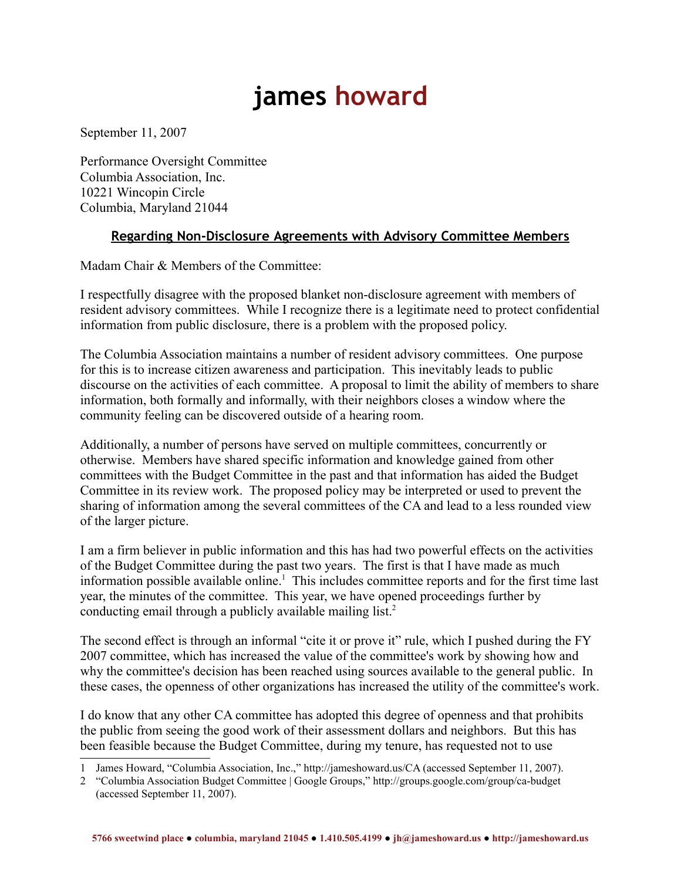## **james howard**

September 11, 2007

Performance Oversight Committee Columbia Association, Inc. 10221 Wincopin Circle Columbia, Maryland 21044

## **Regarding Non-Disclosure Agreements with Advisory Committee Members**

Madam Chair & Members of the Committee:

I respectfully disagree with the proposed blanket non-disclosure agreement with members of resident advisory committees. While I recognize there is a legitimate need to protect confidential information from public disclosure, there is a problem with the proposed policy.

The Columbia Association maintains a number of resident advisory committees. One purpose for this is to increase citizen awareness and participation. This inevitably leads to public discourse on the activities of each committee. A proposal to limit the ability of members to share information, both formally and informally, with their neighbors closes a window where the community feeling can be discovered outside of a hearing room.

Additionally, a number of persons have served on multiple committees, concurrently or otherwise. Members have shared specific information and knowledge gained from other committees with the Budget Committee in the past and that information has aided the Budget Committee in its review work. The proposed policy may be interpreted or used to prevent the sharing of information among the several committees of the CA and lead to a less rounded view of the larger picture.

I am a firm believer in public information and this has had two powerful effects on the activities of the Budget Committee during the past two years. The first is that I have made as much information possible available online.<sup>[1](#page-0-0)</sup> This includes committee reports and for the first time last year, the minutes of the committee. This year, we have opened proceedings further by conducting email through a publicly available mailing list.<sup>[2](#page-0-1)</sup>

The second effect is through an informal "cite it or prove it" rule, which I pushed during the FY 2007 committee, which has increased the value of the committee's work by showing how and why the committee's decision has been reached using sources available to the general public. In these cases, the openness of other organizations has increased the utility of the committee's work.

I do know that any other CA committee has adopted this degree of openness and that prohibits the public from seeing the good work of their assessment dollars and neighbors. But this has been feasible because the Budget Committee, during my tenure, has requested not to use

<span id="page-0-0"></span><sup>1</sup> James Howard, "Columbia Association, Inc.," http://jameshoward.us/CA (accessed September 11, 2007).

<span id="page-0-1"></span><sup>2</sup> "Columbia Association Budget Committee | Google Groups," http://groups.google.com/group/ca-budget (accessed September 11, 2007).